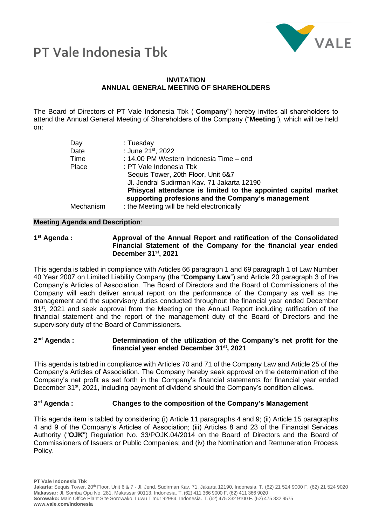

## PT Vale Indonesia Thk

## **INVITATION ANNUAL GENERAL MEETING OF SHAREHOLDERS**

The Board of Directors of PT Vale Indonesia Tbk ("**Company**") hereby invites all shareholders to attend the Annual General Meeting of Shareholders of the Company ("**Meeting**"), which will be held on:

| Day       | : Tuesday                                                                                                            |
|-----------|----------------------------------------------------------------------------------------------------------------------|
| Date      | : June 21 <sup>st</sup> , 2022                                                                                       |
| Time      | : 14.00 PM Western Indonesia Time - end                                                                              |
| Place     | : PT Vale Indonesia Tbk                                                                                              |
|           | Sequis Tower, 20th Floor, Unit 6&7                                                                                   |
|           | Jl. Jendral Sudirman Kav. 71 Jakarta 12190                                                                           |
|           | Phisycal attendance is limited to the appointed capital market<br>supporting profesions and the Company's management |
| Mechanism | : the Meeting will be held electronically                                                                            |

## **Meeting Agenda and Description**:

1<sup>st</sup> Agenda : **st Agenda : Approval of the Annual Report and ratification of the Consolidated Financial Statement of the Company for the financial year ended December 31st, 2021**

This agenda is tabled in compliance with Articles 66 paragraph 1 and 69 paragraph 1 of Law Number 40 Year 2007 on Limited Liability Company (the "**Company Law**") and Article 20 paragraph 3 of the Company's Articles of Association. The Board of Directors and the Board of Commissioners of the Company will each deliver annual report on the performance of the Company as well as the management and the supervisory duties conducted throughout the financial year ended December 31<sup>st</sup>, 2021 and seek approval from the Meeting on the Annual Report including ratification of the financial statement and the report of the management duty of the Board of Directors and the supervisory duty of the Board of Commissioners.

#### 2<sup>nd</sup> Agenda: **Determination of the utilization of the Company's net profit for the financial year ended December 31st, 2021**

This agenda is tabled in compliance with Articles 70 and 71 of the Company Law and Article 25 of the Company's Articles of Association. The Company hereby seek approval on the determination of the Company's net profit as set forth in the Company's financial statements for financial year ended December 31<sup>st</sup>, 2021, including payment of dividend should the Company's condition allows.

#### 3<sup>rd</sup> Agenda: **Changes to the composition of the Company's Management**

This agenda item is tabled by considering (i) Article 11 paragraphs 4 and 9; (ii) Article 15 paragraphs 4 and 9 of the Company's Articles of Association; (iii) Articles 8 and 23 of the Financial Services Authority ("**OJK**") Regulation No. 33/POJK.04/2014 on the Board of Directors and the Board of Commissioners of Issuers or Public Companies; and (iv) the Nomination and Remuneration Process Policy.

**PT Vale Indonesia Tbk**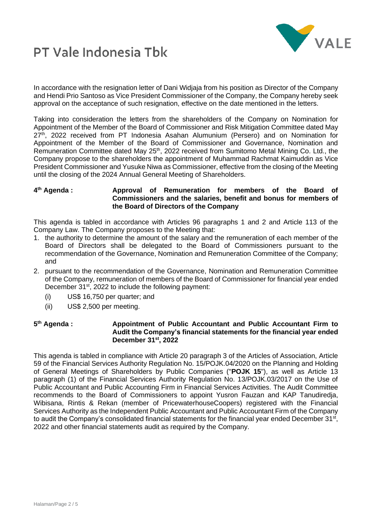



In accordance with the resignation letter of Dani Widjaja from his position as Director of the Company and Hendi Prio Santoso as Vice President Commissioner of the Company, the Company hereby seek approval on the acceptance of such resignation, effective on the date mentioned in the letters.

Taking into consideration the letters from the shareholders of the Company on Nomination for Appointment of the Member of the Board of Commissioner and Risk Mitigation Committee dated May  $27<sup>th</sup>$ , 2022 received from PT Indonesia Asahan Alumunium (Persero) and on Nomination for Appointment of the Member of the Board of Commissioner and Governance, Nomination and Remuneration Committee dated May 25<sup>th</sup>, 2022 received from Sumitomo Metal Mining Co. Ltd., the Company propose to the shareholders the appointment of Muhammad Rachmat Kaimuddin as Vice President Commissioner and Yusuke Niwa as Commissioner, effective from the closing of the Meeting until the closing of the 2024 Annual General Meeting of Shareholders.

#### 4<sup>th</sup> Agenda: **th Agenda : Approval of Remuneration for members of the Board of Commissioners and the salaries, benefit and bonus for members of the Board of Directors of the Company**

This agenda is tabled in accordance with Articles 96 paragraphs 1 and 2 and Article 113 of the Company Law. The Company proposes to the Meeting that:

- 1. the authority to determine the amount of the salary and the remuneration of each member of the Board of Directors shall be delegated to the Board of Commissioners pursuant to the recommendation of the Governance, Nomination and Remuneration Committee of the Company; and
- 2. pursuant to the recommendation of the Governance, Nomination and Remuneration Committee of the Company, remuneration of members of the Board of Commissioner for financial year ended December 31<sup>st</sup>, 2022 to include the following payment:
	- (i) US\$ 16,750 per quarter; and
	- (ii) US\$ 2,500 per meeting.

### 5<sup>th</sup> Agenda: **th Agenda : Appointment of Public Accountant and Public Accountant Firm to Audit the Company's financial statements for the financial year ended December 31st, 2022**

This agenda is tabled in compliance with Article 20 paragraph 3 of the Articles of Association, Article 59 of the Financial Services Authority Regulation No. 15/POJK.04/2020 on the Planning and Holding of General Meetings of Shareholders by Public Companies ("**POJK 15**"), as well as Article 13 paragraph (1) of the Financial Services Authority Regulation No. 13/POJK.03/2017 on the Use of Public Accountant and Public Accounting Firm in Financial Services Activities. The Audit Committee recommends to the Board of Commissioners to appoint Yusron Fauzan and KAP Tanudiredja, Wibisana, Rintis & Rekan (member of PricewaterhouseCoopers) registered with the Financial Services Authority as the Independent Public Accountant and Public Accountant Firm of the Company to audit the Company's consolidated financial statements for the financial year ended December 31<sup>st</sup>, 2022 and other financial statements audit as required by the Company.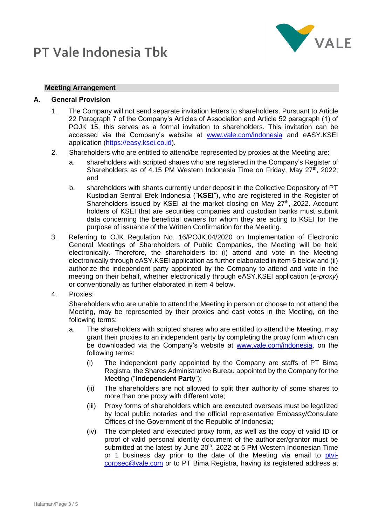# **PT Vale Indonesia Thk**



## **Meeting Arrangement**

## **A. General Provision**

- 1. The Company will not send separate invitation letters to shareholders. Pursuant to Article 22 Paragraph 7 of the Company's Articles of Association and Article 52 paragraph (1) of POJK 15, this serves as a formal invitation to shareholders. This invitation can be accessed via the Company's website at [www.vale.com/indonesia](http://www.vale.com/indonesia) and eASY.KSEI application [\(https://easy.ksei.co.id\)](https://easy.ksei.co.id/).
- 2. Shareholders who are entitled to attend/be represented by proxies at the Meeting are:
	- a. shareholders with scripted shares who are registered in the Company's Register of Shareholders as of 4.15 PM Western Indonesia Time on Friday, May  $27<sup>th</sup>$ , 2022; and
	- b. shareholders with shares currently under deposit in the Collective Depository of PT Kustodian Sentral Efek Indonesia ("**KSEI**"), who are registered in the Register of Shareholders issued by KSEI at the market closing on May  $27<sup>th</sup>$ , 2022. Account holders of KSEI that are securities companies and custodian banks must submit data concerning the beneficial owners for whom they are acting to KSEI for the purpose of issuance of the Written Confirmation for the Meeting.
- 3. Referring to OJK Regulation No. 16/POJK.04/2020 on Implementation of Electronic General Meetings of Shareholders of Public Companies, the Meeting will be held electronically. Therefore, the shareholders to: (i) attend and vote in the Meeting electronically through eASY.KSEI application as further elaborated in item 5 below and (ii) authorize the independent party appointed by the Company to attend and vote in the meeting on their behalf, whether electronically through eASY.KSEI application (*e-proxy*) or conventionally as further elaborated in item 4 below.
- 4. Proxies:

Shareholders who are unable to attend the Meeting in person or choose to not attend the Meeting, may be represented by their proxies and cast votes in the Meeting, on the following terms:

- a. The shareholders with scripted shares who are entitled to attend the Meeting, may grant their proxies to an independent party by completing the proxy form which can be downloaded via the Company's website at [www.vale.com/indonesia,](http://www.vale.com/indonesia) on the following terms:
	- (i) The independent party appointed by the Company are staffs of PT Bima Registra, the Shares Administrative Bureau appointed by the Company for the Meeting ("**Independent Party**");
	- (ii) The shareholders are not allowed to split their authority of some shares to more than one proxy with different vote;
	- (iii) Proxy forms of shareholders which are executed overseas must be legalized by local public notaries and the official representative Embassy/Consulate Offices of the Government of the Republic of Indonesia;
	- (iv) The completed and executed proxy form, as well as the copy of valid ID or proof of valid personal identity document of the authorizer/grantor must be submitted at the latest by June 20<sup>th</sup>, 2022 at 5 PM Western Indonesian Time or 1 business day prior to the date of the Meeting via email to [ptvi](mailto:ptvi-corpsec@vale.com)[corpsec@vale.com](mailto:ptvi-corpsec@vale.com) or to PT Bima Registra, having its registered address at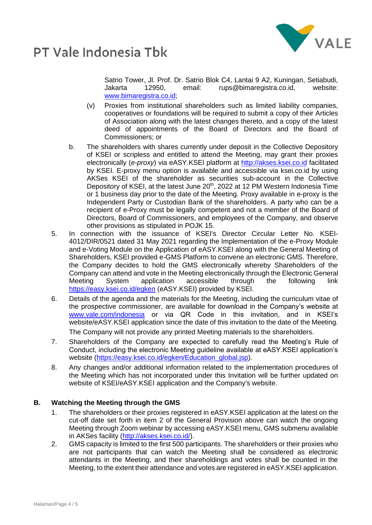



Satrio Tower, Jl. Prof. Dr. Satrio Blok C4, Lantai 9 A2, Kuningan, Setiabudi, Jakarta 12950, email: rups@bimaregistra.co.id, website: [www.bimaregistra.co.id;](http://www.bimaregistra.co.id/)

- (v) Proxies from institutional shareholders such as limited liability companies, cooperatives or foundations will be required to submit a copy of their Articles of Association along with the latest changes thereto, and a copy of the latest deed of appointments of the Board of Directors and the Board of Commissioners; or
- b. The shareholders with shares currently under deposit in the Collective Depository of KSEI or scripless and entitled to attend the Meeting, may grant their proxies electronically (*e-proxy*) via eASY.KSEI platform at [http://akses.ksei.co.id](http://akses.ksei.co.id/) facilitated by KSEI. E-proxy menu option is available and accessible via ksei.co.id by using AKSes KSEI of the shareholder as securities sub-account in the Collective Depository of KSEI, at the latest June 20<sup>th</sup>, 2022 at 12 PM Western Indonesia Time or 1 business day prior to the date of the Meeting. Proxy available in e-proxy is the Independent Party or Custodian Bank of the shareholders. A party who can be a recipient of e-Proxy must be legally competent and not a member of the Board of Directors, Board of Commissioners, and employees of the Company, and observe other provisions as stipulated in POJK 15.
- 5. In connection with the issuance of KSEI's Director Circular Letter No. KSEI-4012/DIR/0521 dated 31 May 2021 regarding the Implementation of the e-Proxy Module and e-Voting Module on the Application of eASY.KSEI along with the General Meeting of Shareholders, KSEI provided e-GMS Platform to convene an electronic GMS. Therefore, the Company decides to hold the GMS electronically whereby Shareholders of the Company can attend and vote in the Meeting electronically through the Electronic General Meeting System application accessible through the following link <https://easy.ksei.co.id/egken> (eASY.KSEI) provided by KSEI.
- 6. Details of the agenda and the materials for the Meeting, including the curriculum vitae of the prospective commissioner, are available for download in the Company's website at [www.vale.com/indonesia](http://www.vale.com/indonesia) or via QR Code in this invitation, and in KSEI's website/eASY.KSEI application since the date of this invitation to the date of the Meeting. The Company will not provide any printed Meeting materials to the shareholders.
- 7. Shareholders of the Company are expected to carefully read the Meeting's Rule of Conduct, including the electronic Meeting guideline available at eASY.KSEI application's website [\(https://easy.ksei.co.id/egken/Education\\_global.jsp\)](https://easy.ksei.co.id/egken/Education_global.jsp).
- 8. Any changes and/or additional information related to the implementation procedures of the Meeting which has not incorporated under this Invitation will be further updated on website of KSEI/eASY.KSEI application and the Company's website.

## **B. Watching the Meeting through the GMS**

- 1. The shareholders or their proxies registered in eASY.KSEI application at the latest on the cut-off date set forth in item 2 of the General Provision above can watch the ongoing Meeting through Zoom webinar by accessing eASY.KSEI menu, GMS submenu available in AKSes facility [\(http://akses.ksei.co.id/\)](http://akses.ksei.co.id/).
- 2. GMS capacity is limited to the first 500 participants. The shareholders or their proxies who are not participants that can watch the Meeting shall be considered as electronic attendants in the Meeting, and their shareholdings and votes shall be counted in the Meeting, to the extent their attendance and votes are registered in eASY.KSEI application.